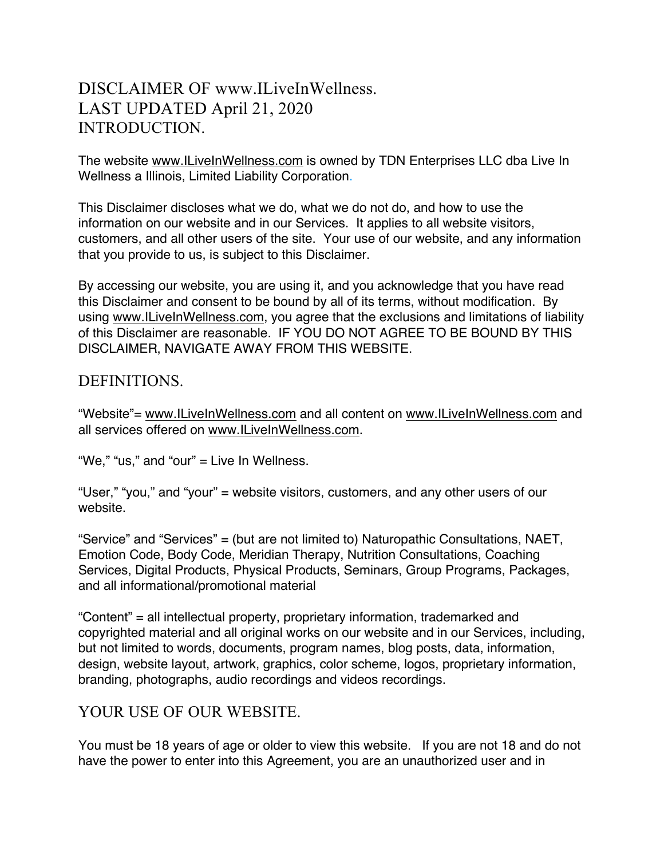# DISCLAIMER OF www.ILiveInWellness. LAST UPDATED April 21, 2020 INTRODUCTION.

The website www.ILiveInWellness.com is owned by TDN Enterprises LLC dba Live In Wellness a Illinois, Limited Liability Corporation.

This Disclaimer discloses what we do, what we do not do, and how to use the information on our website and in our Services. It applies to all website visitors, customers, and all other users of the site. Your use of our website, and any information that you provide to us, is subject to this Disclaimer.

By accessing our website, you are using it, and you acknowledge that you have read this Disclaimer and consent to be bound by all of its terms, without modification. By using www.ILiveInWellness.com, you agree that the exclusions and limitations of liability of this Disclaimer are reasonable. IF YOU DO NOT AGREE TO BE BOUND BY THIS DISCLAIMER, NAVIGATE AWAY FROM THIS WEBSITE.

#### DEFINITIONS.

"Website"= www.ILiveInWellness.com and all content on www.ILiveInWellness.com and all services offered on www.ILiveInWellness.com.

"We," "us," and "our" = Live In Wellness.

"User," "you," and "your" = website visitors, customers, and any other users of our website.

"Service" and "Services" = (but are not limited to) Naturopathic Consultations, NAET, Emotion Code, Body Code, Meridian Therapy, Nutrition Consultations, Coaching Services, Digital Products, Physical Products, Seminars, Group Programs, Packages, and all informational/promotional material

"Content" = all intellectual property, proprietary information, trademarked and copyrighted material and all original works on our website and in our Services, including, but not limited to words, documents, program names, blog posts, data, information, design, website layout, artwork, graphics, color scheme, logos, proprietary information, branding, photographs, audio recordings and videos recordings.

# YOUR USE OF OUR WEBSITE.

You must be 18 years of age or older to view this website. If you are not 18 and do not have the power to enter into this Agreement, you are an unauthorized user and in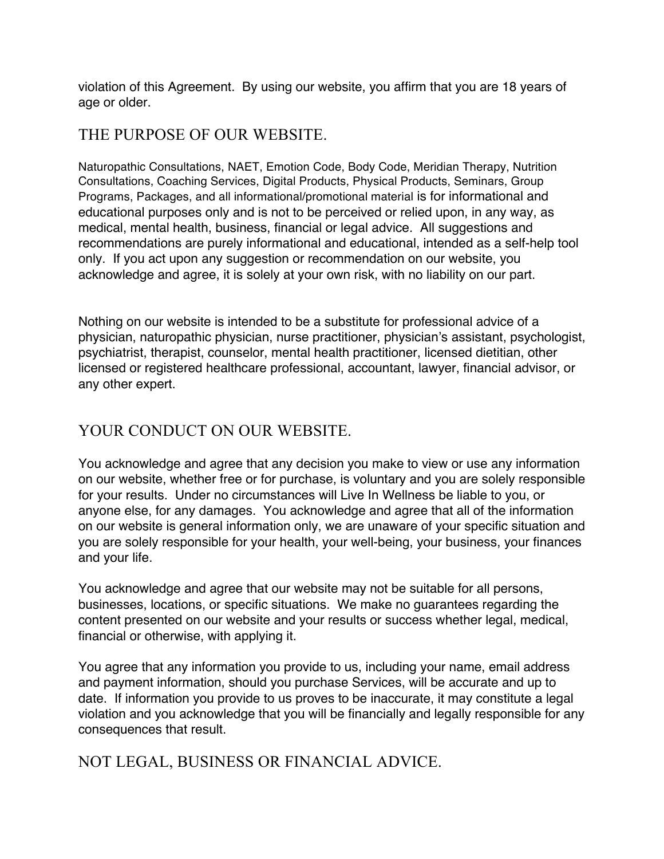violation of this Agreement. By using our website, you affirm that you are 18 years of age or older.

#### THE PURPOSE OF OUR WEBSITE.

Naturopathic Consultations, NAET, Emotion Code, Body Code, Meridian Therapy, Nutrition Consultations, Coaching Services, Digital Products, Physical Products, Seminars, Group Programs, Packages, and all informational/promotional material is for informational and educational purposes only and is not to be perceived or relied upon, in any way, as medical, mental health, business, financial or legal advice. All suggestions and recommendations are purely informational and educational, intended as a self-help tool only. If you act upon any suggestion or recommendation on our website, you acknowledge and agree, it is solely at your own risk, with no liability on our part.

Nothing on our website is intended to be a substitute for professional advice of a physician, naturopathic physician, nurse practitioner, physician's assistant, psychologist, psychiatrist, therapist, counselor, mental health practitioner, licensed dietitian, other licensed or registered healthcare professional, accountant, lawyer, financial advisor, or any other expert.

# YOUR CONDUCT ON OUR WEBSITE.

You acknowledge and agree that any decision you make to view or use any information on our website, whether free or for purchase, is voluntary and you are solely responsible for your results. Under no circumstances will Live In Wellness be liable to you, or anyone else, for any damages. You acknowledge and agree that all of the information on our website is general information only, we are unaware of your specific situation and you are solely responsible for your health, your well-being, your business, your finances and your life.

You acknowledge and agree that our website may not be suitable for all persons, businesses, locations, or specific situations. We make no guarantees regarding the content presented on our website and your results or success whether legal, medical, financial or otherwise, with applying it.

You agree that any information you provide to us, including your name, email address and payment information, should you purchase Services, will be accurate and up to date. If information you provide to us proves to be inaccurate, it may constitute a legal violation and you acknowledge that you will be financially and legally responsible for any consequences that result.

NOT LEGAL, BUSINESS OR FINANCIAL ADVICE.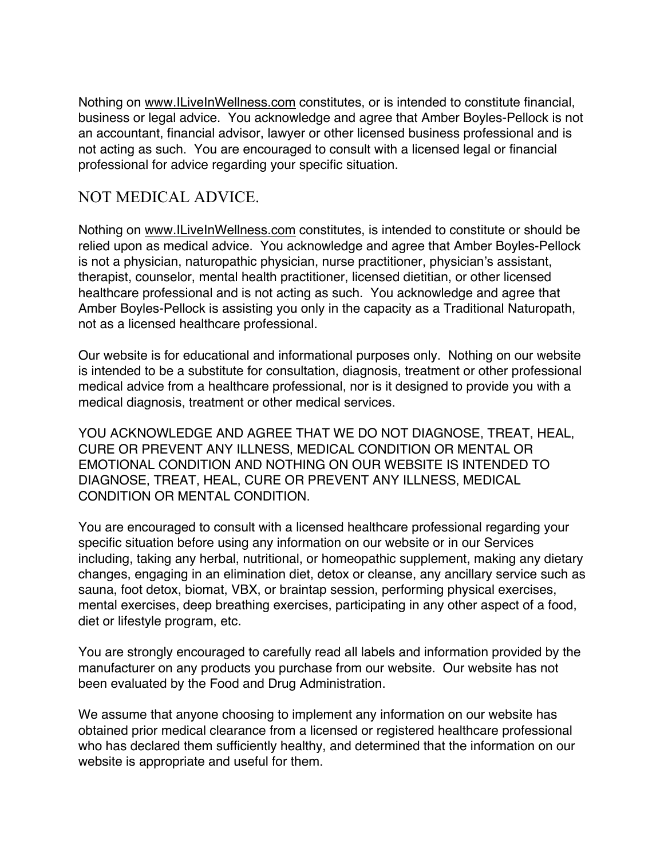Nothing on www.ILiveInWellness.com constitutes, or is intended to constitute financial, business or legal advice. You acknowledge and agree that Amber Boyles-Pellock is not an accountant, financial advisor, lawyer or other licensed business professional and is not acting as such. You are encouraged to consult with a licensed legal or financial professional for advice regarding your specific situation.

## NOT MEDICAL ADVICE.

Nothing on www.ILiveInWellness.com constitutes, is intended to constitute or should be relied upon as medical advice. You acknowledge and agree that Amber Boyles-Pellock is not a physician, naturopathic physician, nurse practitioner, physician's assistant, therapist, counselor, mental health practitioner, licensed dietitian, or other licensed healthcare professional and is not acting as such. You acknowledge and agree that Amber Boyles-Pellock is assisting you only in the capacity as a Traditional Naturopath, not as a licensed healthcare professional.

Our website is for educational and informational purposes only. Nothing on our website is intended to be a substitute for consultation, diagnosis, treatment or other professional medical advice from a healthcare professional, nor is it designed to provide you with a medical diagnosis, treatment or other medical services.

YOU ACKNOWLEDGE AND AGREE THAT WE DO NOT DIAGNOSE, TREAT, HEAL, CURE OR PREVENT ANY ILLNESS, MEDICAL CONDITION OR MENTAL OR EMOTIONAL CONDITION AND NOTHING ON OUR WEBSITE IS INTENDED TO DIAGNOSE, TREAT, HEAL, CURE OR PREVENT ANY ILLNESS, MEDICAL CONDITION OR MENTAL CONDITION.

You are encouraged to consult with a licensed healthcare professional regarding your specific situation before using any information on our website or in our Services including, taking any herbal, nutritional, or homeopathic supplement, making any dietary changes, engaging in an elimination diet, detox or cleanse, any ancillary service such as sauna, foot detox, biomat, VBX, or braintap session, performing physical exercises, mental exercises, deep breathing exercises, participating in any other aspect of a food, diet or lifestyle program, etc.

You are strongly encouraged to carefully read all labels and information provided by the manufacturer on any products you purchase from our website. Our website has not been evaluated by the Food and Drug Administration.

We assume that anyone choosing to implement any information on our website has obtained prior medical clearance from a licensed or registered healthcare professional who has declared them sufficiently healthy, and determined that the information on our website is appropriate and useful for them.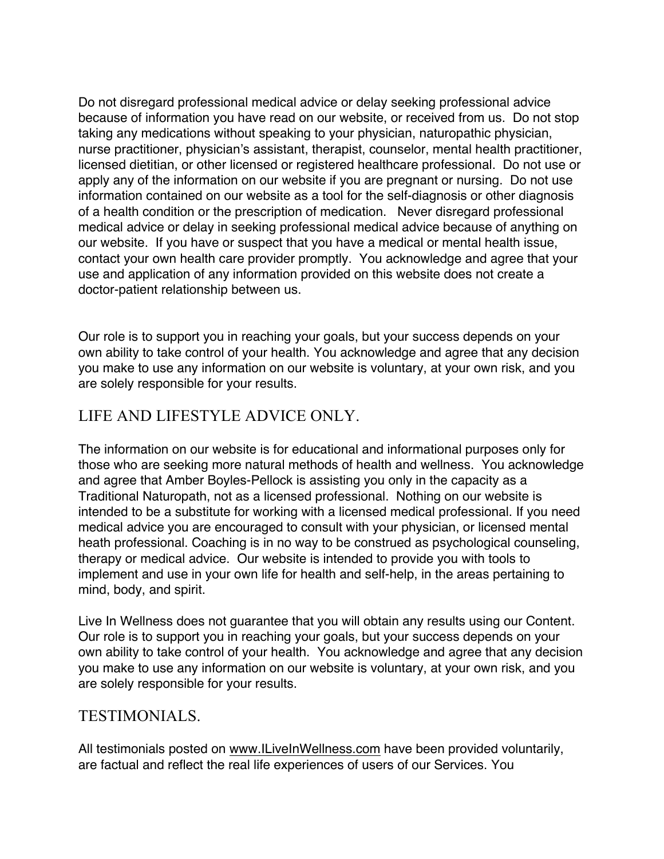Do not disregard professional medical advice or delay seeking professional advice because of information you have read on our website, or received from us. Do not stop taking any medications without speaking to your physician, naturopathic physician, nurse practitioner, physician's assistant, therapist, counselor, mental health practitioner, licensed dietitian, or other licensed or registered healthcare professional. Do not use or apply any of the information on our website if you are pregnant or nursing. Do not use information contained on our website as a tool for the self-diagnosis or other diagnosis of a health condition or the prescription of medication. Never disregard professional medical advice or delay in seeking professional medical advice because of anything on our website. If you have or suspect that you have a medical or mental health issue, contact your own health care provider promptly. You acknowledge and agree that your use and application of any information provided on this website does not create a doctor-patient relationship between us.

Our role is to support you in reaching your goals, but your success depends on your own ability to take control of your health. You acknowledge and agree that any decision you make to use any information on our website is voluntary, at your own risk, and you are solely responsible for your results.

# LIFE AND LIFESTYLE ADVICE ONLY.

The information on our website is for educational and informational purposes only for those who are seeking more natural methods of health and wellness. You acknowledge and agree that Amber Boyles-Pellock is assisting you only in the capacity as a Traditional Naturopath, not as a licensed professional. Nothing on our website is intended to be a substitute for working with a licensed medical professional. If you need medical advice you are encouraged to consult with your physician, or licensed mental heath professional. Coaching is in no way to be construed as psychological counseling, therapy or medical advice. Our website is intended to provide you with tools to implement and use in your own life for health and self-help, in the areas pertaining to mind, body, and spirit.

Live In Wellness does not guarantee that you will obtain any results using our Content. Our role is to support you in reaching your goals, but your success depends on your own ability to take control of your health. You acknowledge and agree that any decision you make to use any information on our website is voluntary, at your own risk, and you are solely responsible for your results.

#### TESTIMONIALS.

All testimonials posted on www.ILiveInWellness.com have been provided voluntarily, are factual and reflect the real life experiences of users of our Services. You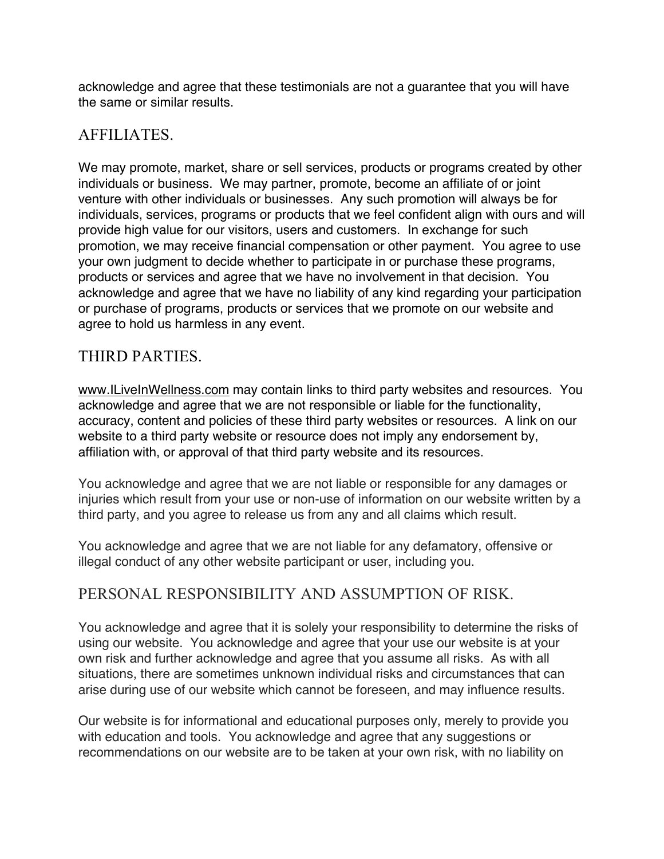acknowledge and agree that these testimonials are not a guarantee that you will have the same or similar results.

### AFFILIATES.

We may promote, market, share or sell services, products or programs created by other individuals or business. We may partner, promote, become an affiliate of or joint venture with other individuals or businesses. Any such promotion will always be for individuals, services, programs or products that we feel confident align with ours and will provide high value for our visitors, users and customers. In exchange for such promotion, we may receive financial compensation or other payment. You agree to use your own judgment to decide whether to participate in or purchase these programs, products or services and agree that we have no involvement in that decision. You acknowledge and agree that we have no liability of any kind regarding your participation or purchase of programs, products or services that we promote on our website and agree to hold us harmless in any event.

### THIRD PARTIES.

www.ILiveInWellness.com may contain links to third party websites and resources. You acknowledge and agree that we are not responsible or liable for the functionality, accuracy, content and policies of these third party websites or resources. A link on our website to a third party website or resource does not imply any endorsement by, affiliation with, or approval of that third party website and its resources.

You acknowledge and agree that we are not liable or responsible for any damages or injuries which result from your use or non-use of information on our website written by a third party, and you agree to release us from any and all claims which result.

You acknowledge and agree that we are not liable for any defamatory, offensive or illegal conduct of any other website participant or user, including you.

### PERSONAL RESPONSIBILITY AND ASSUMPTION OF RISK.

You acknowledge and agree that it is solely your responsibility to determine the risks of using our website. You acknowledge and agree that your use our website is at your own risk and further acknowledge and agree that you assume all risks. As with all situations, there are sometimes unknown individual risks and circumstances that can arise during use of our website which cannot be foreseen, and may influence results.

Our website is for informational and educational purposes only, merely to provide you with education and tools. You acknowledge and agree that any suggestions or recommendations on our website are to be taken at your own risk, with no liability on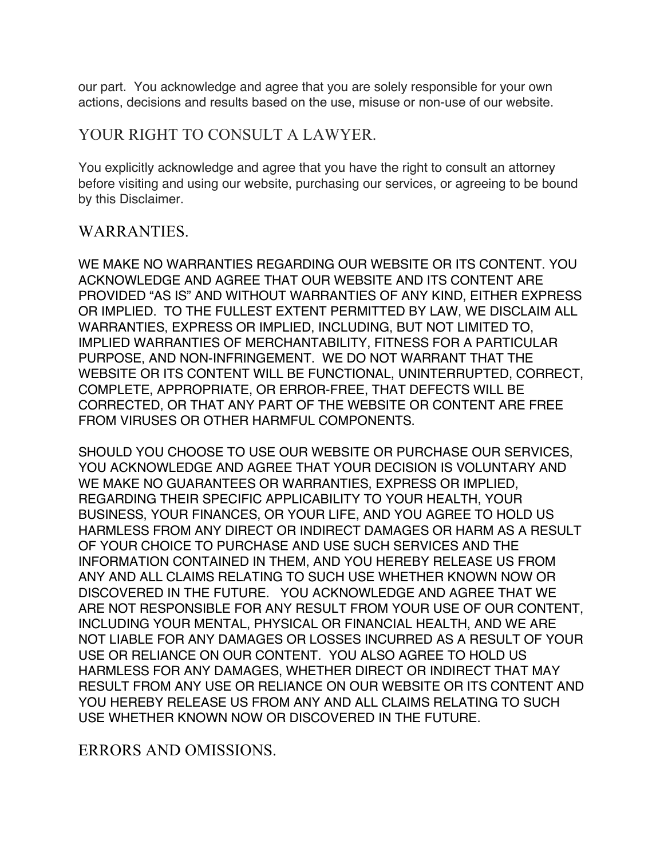our part. You acknowledge and agree that you are solely responsible for your own actions, decisions and results based on the use, misuse or non-use of our website.

#### YOUR RIGHT TO CONSULT A LAWYER.

You explicitly acknowledge and agree that you have the right to consult an attorney before visiting and using our website, purchasing our services, or agreeing to be bound by this Disclaimer.

#### WARRANTIES.

WE MAKE NO WARRANTIES REGARDING OUR WEBSITE OR ITS CONTENT. YOU ACKNOWLEDGE AND AGREE THAT OUR WEBSITE AND ITS CONTENT ARE PROVIDED "AS IS" AND WITHOUT WARRANTIES OF ANY KIND, EITHER EXPRESS OR IMPLIED. TO THE FULLEST EXTENT PERMITTED BY LAW, WE DISCLAIM ALL WARRANTIES, EXPRESS OR IMPLIED, INCLUDING, BUT NOT LIMITED TO, IMPLIED WARRANTIES OF MERCHANTABILITY, FITNESS FOR A PARTICULAR PURPOSE, AND NON-INFRINGEMENT. WE DO NOT WARRANT THAT THE WEBSITE OR ITS CONTENT WILL BE FUNCTIONAL, UNINTERRUPTED, CORRECT, COMPLETE, APPROPRIATE, OR ERROR-FREE, THAT DEFECTS WILL BE CORRECTED, OR THAT ANY PART OF THE WEBSITE OR CONTENT ARE FREE FROM VIRUSES OR OTHER HARMFUL COMPONENTS.

SHOULD YOU CHOOSE TO USE OUR WEBSITE OR PURCHASE OUR SERVICES, YOU ACKNOWLEDGE AND AGREE THAT YOUR DECISION IS VOLUNTARY AND WE MAKE NO GUARANTEES OR WARRANTIES, EXPRESS OR IMPLIED, REGARDING THEIR SPECIFIC APPLICABILITY TO YOUR HEALTH, YOUR BUSINESS, YOUR FINANCES, OR YOUR LIFE, AND YOU AGREE TO HOLD US HARMLESS FROM ANY DIRECT OR INDIRECT DAMAGES OR HARM AS A RESULT OF YOUR CHOICE TO PURCHASE AND USE SUCH SERVICES AND THE INFORMATION CONTAINED IN THEM, AND YOU HEREBY RELEASE US FROM ANY AND ALL CLAIMS RELATING TO SUCH USE WHETHER KNOWN NOW OR DISCOVERED IN THE FUTURE. YOU ACKNOWLEDGE AND AGREE THAT WE ARE NOT RESPONSIBLE FOR ANY RESULT FROM YOUR USE OF OUR CONTENT, INCLUDING YOUR MENTAL, PHYSICAL OR FINANCIAL HEALTH, AND WE ARE NOT LIABLE FOR ANY DAMAGES OR LOSSES INCURRED AS A RESULT OF YOUR USE OR RELIANCE ON OUR CONTENT. YOU ALSO AGREE TO HOLD US HARMLESS FOR ANY DAMAGES, WHETHER DIRECT OR INDIRECT THAT MAY RESULT FROM ANY USE OR RELIANCE ON OUR WEBSITE OR ITS CONTENT AND YOU HEREBY RELEASE US FROM ANY AND ALL CLAIMS RELATING TO SUCH USE WHETHER KNOWN NOW OR DISCOVERED IN THE FUTURE.

ERRORS AND OMISSIONS.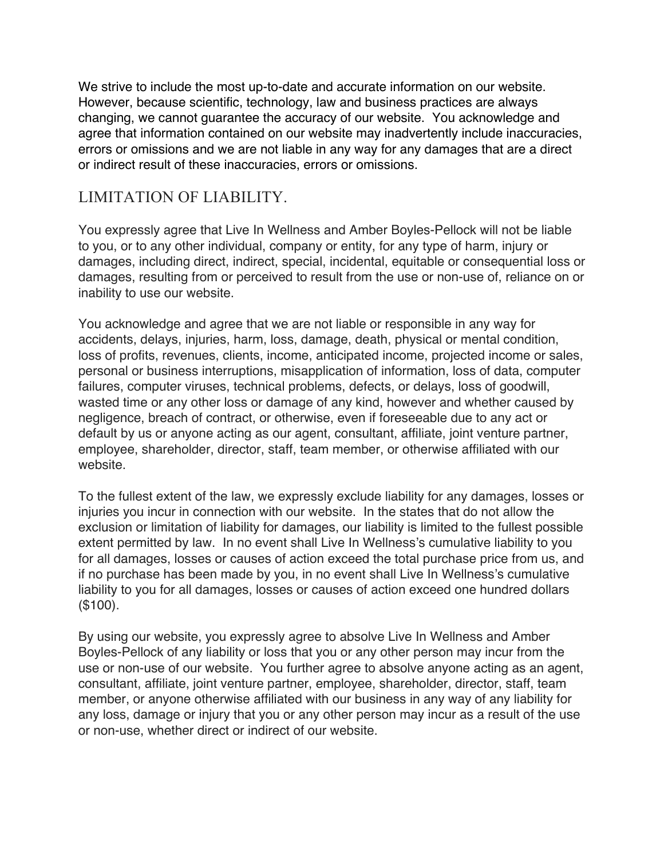We strive to include the most up-to-date and accurate information on our website. However, because scientific, technology, law and business practices are always changing, we cannot guarantee the accuracy of our website. You acknowledge and agree that information contained on our website may inadvertently include inaccuracies, errors or omissions and we are not liable in any way for any damages that are a direct or indirect result of these inaccuracies, errors or omissions.

## LIMITATION OF LIABILITY.

You expressly agree that Live In Wellness and Amber Boyles-Pellock will not be liable to you, or to any other individual, company or entity, for any type of harm, injury or damages, including direct, indirect, special, incidental, equitable or consequential loss or damages, resulting from or perceived to result from the use or non-use of, reliance on or inability to use our website.

You acknowledge and agree that we are not liable or responsible in any way for accidents, delays, injuries, harm, loss, damage, death, physical or mental condition, loss of profits, revenues, clients, income, anticipated income, projected income or sales, personal or business interruptions, misapplication of information, loss of data, computer failures, computer viruses, technical problems, defects, or delays, loss of goodwill, wasted time or any other loss or damage of any kind, however and whether caused by negligence, breach of contract, or otherwise, even if foreseeable due to any act or default by us or anyone acting as our agent, consultant, affiliate, joint venture partner, employee, shareholder, director, staff, team member, or otherwise affiliated with our website.

To the fullest extent of the law, we expressly exclude liability for any damages, losses or injuries you incur in connection with our website. In the states that do not allow the exclusion or limitation of liability for damages, our liability is limited to the fullest possible extent permitted by law. In no event shall Live In Wellness's cumulative liability to you for all damages, losses or causes of action exceed the total purchase price from us, and if no purchase has been made by you, in no event shall Live In Wellness's cumulative liability to you for all damages, losses or causes of action exceed one hundred dollars (\$100).

By using our website, you expressly agree to absolve Live In Wellness and Amber Boyles-Pellock of any liability or loss that you or any other person may incur from the use or non-use of our website. You further agree to absolve anyone acting as an agent, consultant, affiliate, joint venture partner, employee, shareholder, director, staff, team member, or anyone otherwise affiliated with our business in any way of any liability for any loss, damage or injury that you or any other person may incur as a result of the use or non-use, whether direct or indirect of our website.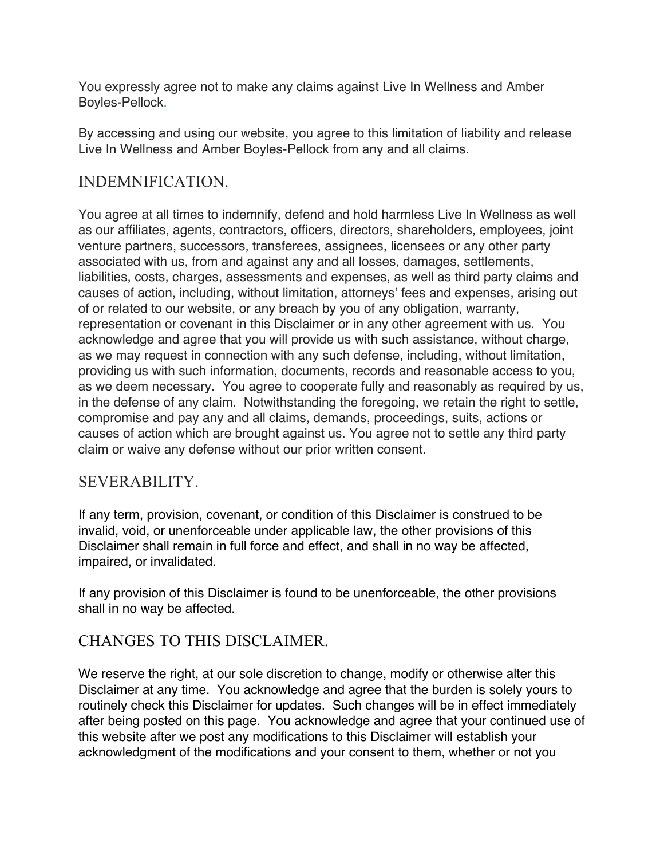You expressly agree not to make any claims against Live In Wellness and Amber Boyles-Pellock.

By accessing and using our website, you agree to this limitation of liability and release Live In Wellness and Amber Boyles-Pellock from any and all claims.

## INDEMNIFICATION.

You agree at all times to indemnify, defend and hold harmless Live In Wellness as well as our affiliates, agents, contractors, officers, directors, shareholders, employees, joint venture partners, successors, transferees, assignees, licensees or any other party associated with us, from and against any and all losses, damages, settlements, liabilities, costs, charges, assessments and expenses, as well as third party claims and causes of action, including, without limitation, attorneys' fees and expenses, arising out of or related to our website, or any breach by you of any obligation, warranty, representation or covenant in this Disclaimer or in any other agreement with us. You acknowledge and agree that you will provide us with such assistance, without charge, as we may request in connection with any such defense, including, without limitation, providing us with such information, documents, records and reasonable access to you, as we deem necessary. You agree to cooperate fully and reasonably as required by us, in the defense of any claim. Notwithstanding the foregoing, we retain the right to settle, compromise and pay any and all claims, demands, proceedings, suits, actions or causes of action which are brought against us. You agree not to settle any third party claim or waive any defense without our prior written consent.

### SEVERABILITY.

If any term, provision, covenant, or condition of this Disclaimer is construed to be invalid, void, or unenforceable under applicable law, the other provisions of this Disclaimer shall remain in full force and effect, and shall in no way be affected, impaired, or invalidated.

If any provision of this Disclaimer is found to be unenforceable, the other provisions shall in no way be affected.

### CHANGES TO THIS DISCLAIMER.

We reserve the right, at our sole discretion to change, modify or otherwise alter this Disclaimer at any time. You acknowledge and agree that the burden is solely yours to routinely check this Disclaimer for updates. Such changes will be in effect immediately after being posted on this page. You acknowledge and agree that your continued use of this website after we post any modifications to this Disclaimer will establish your acknowledgment of the modifications and your consent to them, whether or not you